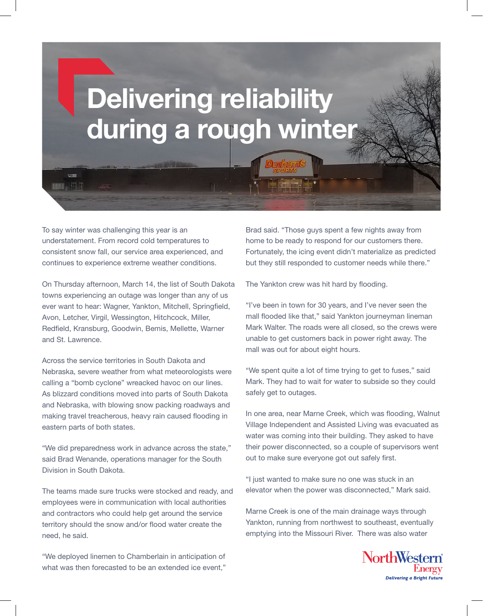# Delivering reliability during a rough winter

To say winter was challenging this year is an understatement. From record cold temperatures to consistent snow fall, our service area experienced, and continues to experience extreme weather conditions.

**HOUR** & THE

On Thursday afternoon, March 14, the list of South Dakota towns experiencing an outage was longer than any of us ever want to hear: Wagner, Yankton, Mitchell, Springfield, Avon, Letcher, Virgil, Wessington, Hitchcock, Miller, Redfield, Kransburg, Goodwin, Bemis, Mellette, Warner and St. Lawrence.

Across the service territories in South Dakota and Nebraska, severe weather from what meteorologists were calling a "bomb cyclone" wreacked havoc on our lines. As blizzard conditions moved into parts of South Dakota and Nebraska, with blowing snow packing roadways and making travel treacherous, heavy rain caused flooding in eastern parts of both states.

"We did preparedness work in advance across the state," said Brad Wenande, operations manager for the South Division in South Dakota.

The teams made sure trucks were stocked and ready, and employees were in communication with local authorities and contractors who could help get around the service territory should the snow and/or flood water create the need, he said.

"We deployed linemen to Chamberlain in anticipation of what was then forecasted to be an extended ice event," Brad said. "Those guys spent a few nights away from home to be ready to respond for our customers there. Fortunately, the icing event didn't materialize as predicted but they still responded to customer needs while there."

The Yankton crew was hit hard by flooding.

"I've been in town for 30 years, and I've never seen the mall flooded like that," said Yankton journeyman lineman Mark Walter. The roads were all closed, so the crews were unable to get customers back in power right away. The mall was out for about eight hours.

"We spent quite a lot of time trying to get to fuses," said Mark. They had to wait for water to subside so they could safely get to outages.

In one area, near Marne Creek, which was flooding, Walnut Village Independent and Assisted Living was evacuated as water was coming into their building. They asked to have their power disconnected, so a couple of supervisors went out to make sure everyone got out safely first.

"I just wanted to make sure no one was stuck in an elevator when the power was disconnected," Mark said.

Marne Creek is one of the main drainage ways through Yankton, running from northwest to southeast, eventually emptying into the Missouri River. There was also water